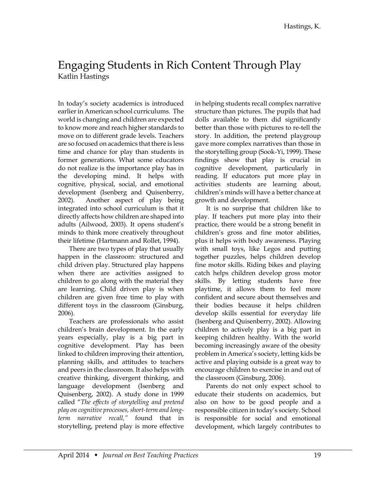## Engaging Students in Rich Content Through Play Katlin Hastings

In today's society academics is introduced earlier in American school curriculums. The world is changing and children are expected to know more and reach higher standards to move on to different grade levels. Teachers are so focused on academics that there is less time and chance for play than students in former generations. What some educators do not realize is the importance play has in the developing mind. It helps with cognitive, physical, social, and emotional development (Isenberg and Quisenberry, 2002). Another aspect of play being integrated into school curriculum is that it directly affects how children are shaped into adults (Ailwood, 2003). It opens student's minds to think more creatively throughout their lifetime (Hartmann and Rollet, 1994).

There are two types of play that usually happen in the classroom: structured and child driven play. Structured play happens when there are activities assigned to children to go along with the material they are learning. Child driven play is when children are given free time to play with different toys in the classroom (Ginsburg, 2006).

Teachers are professionals who assist children's brain development. In the early years especially, play is a big part in cognitive development. Play has been linked to children improving their attention, planning skills, and attitudes to teachers and peers in the classroom. It also helps with creative thinking, divergent thinking, and language development (Isenberg and Quisenberg, 2002). A study done in 1999 called "*The effects of storytelling and pretend play on cognitive processes, short-term and longterm narrative recall,"* found that in storytelling, pretend play is more effective

in helping students recall complex narrative structure than pictures. The pupils that had dolls available to them did significantly better than those with pictures to re-tell the story. In addition, the pretend playgroup gave more complex narratives than those in the storytelling group (Sook-Yi, 1999). These findings show that play is crucial in cognitive development, particularly in reading. If educators put more play in activities students are learning about, children's minds will have a better chance at growth and development.

It is no surprise that children like to play. If teachers put more play into their practice, there would be a strong benefit in children's gross and fine motor abilities, plus it helps with body awareness. Playing with small toys, like Legos and putting together puzzles, helps children develop fine motor skills. Riding bikes and playing catch helps children develop gross motor skills. By letting students have free playtime, it allows them to feel more confident and secure about themselves and their bodies because it helps children develop skills essential for everyday life (Isenberg and Quisenberry, 2002). Allowing children to actively play is a big part in keeping children healthy. With the world becoming increasingly aware of the obesity problem in America's society, letting kids be active and playing outside is a great way to encourage children to exercise in and out of the classroom (Ginsburg, 2006).

Parents do not only expect school to educate their students on academics, but also on how to be good people and a responsible citizen in today's society. School is responsible for social and emotional development, which largely contributes to